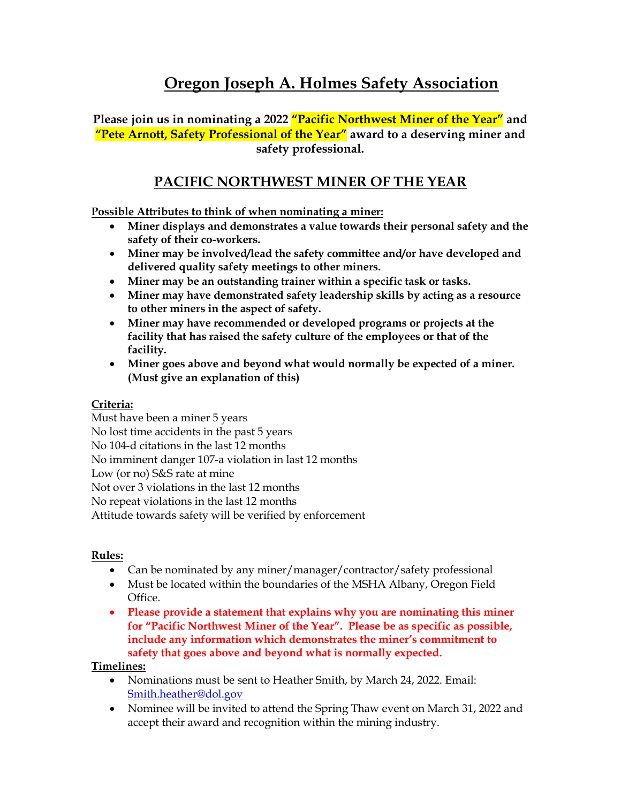## **Oregon Joseph A. Holmes Safety Association**

**Please join us in nominating a 2022 "Pacific Northwest Miner of the Year" and "Pete Arnott, Safety Professional of the Year" award to a deserving miner and safety professional.**

### **PACIFIC NORTHWEST MINER OF THE YEAR**

**Possible Attributes to think of when nominating a miner:**

- **Miner displays and demonstrates a value towards their personal safety and the safety of their co-workers.**
- **Miner may be involved/lead the safety committee and/or have developed and delivered quality safety meetings to other miners.**
- **Miner may be an outstanding trainer within a specific task or tasks.**
- **Miner may have demonstrated safety leadership skills by acting as a resource to other miners in the aspect of safety.**
- **Miner may have recommended or developed programs or projects at the facility that has raised the safety culture of the employees or that of the facility.**
- **Miner goes above and beyond what would normally be expected of a miner. (Must give an explanation of this)**

#### **Criteria:**

Must have been a miner 5 years No lost time accidents in the past 5 years No 104-d citations in the last 12 months No imminent danger 107-a violation in last 12 months Low (or no) S&S rate at mine Not over 3 violations in the last 12 months No repeat violations in the last 12 months Attitude towards safety will be verified by enforcement

#### **Rules:**

- Can be nominated by any miner/manager/contractor/safety professional
- Must be located within the boundaries of the MSHA Albany, Oregon Field Office.
- **Please provide a statement that explains why you are nominating this miner for "Pacific Northwest Miner of the Year". Please be as specific as possible, include any information which demonstrates the miner's commitment to safety that goes above and beyond what is normally expected.**

### **Timelines:**

- Nominations must be sent to Heather Smith, by March 24, 2022. Email: [Smith.heather@dol.gov](mailto:Smith.heather@dol.gov)
- Nominee will be invited to attend the Spring Thaw event on March 31, 2022 and accept their award and recognition within the mining industry.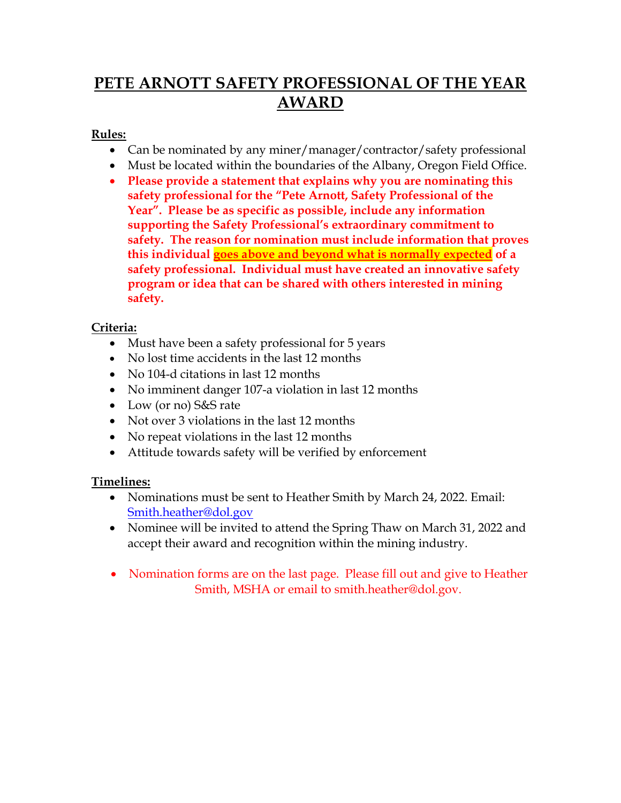# **PETE ARNOTT SAFETY PROFESSIONAL OF THE YEAR AWARD**

#### **Rules:**

- Can be nominated by any miner/manager/contractor/safety professional
- Must be located within the boundaries of the Albany, Oregon Field Office.
- **Please provide a statement that explains why you are nominating this safety professional for the "Pete Arnott, Safety Professional of the Year". Please be as specific as possible, include any information supporting the Safety Professional's extraordinary commitment to safety. The reason for nomination must include information that proves this individual goes above and beyond what is normally expected of a safety professional. Individual must have created an innovative safety program or idea that can be shared with others interested in mining safety.**

### **Criteria:**

- Must have been a safety professional for 5 years
- No lost time accidents in the last 12 months
- No 104-d citations in last 12 months
- No imminent danger 107-a violation in last 12 months
- Low (or no) S&S rate
- Not over 3 violations in the last 12 months
- No repeat violations in the last 12 months
- Attitude towards safety will be verified by enforcement

### **Timelines:**

- Nominations must be sent to Heather Smith by March 24, 2022. Email: [Smith.heather@dol.gov](mailto:Smith.heather@dol.gov)
- Nominee will be invited to attend the Spring Thaw on March 31, 2022 and accept their award and recognition within the mining industry.
- Nomination forms are on the last page. Please fill out and give to Heather Smith, MSHA or email to smith.heather@dol.gov.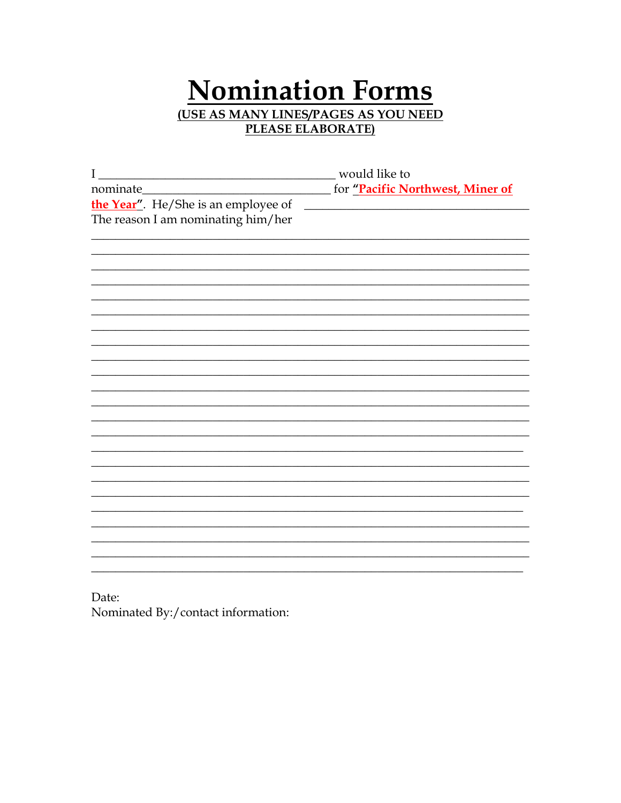# **Nomination Forms** (USE AS MANY LINES/PAGES AS YOU NEED PLEASE ELABORATE)

| $\mathbf I$                         | would like to                    |
|-------------------------------------|----------------------------------|
| nominate_                           | for "Pacific Northwest, Miner of |
| the Year". He/She is an employee of |                                  |
| The reason I am nominating him/her  |                                  |
|                                     |                                  |
|                                     |                                  |
|                                     |                                  |
|                                     |                                  |
|                                     |                                  |
|                                     |                                  |
|                                     |                                  |
|                                     |                                  |
|                                     |                                  |
|                                     |                                  |
|                                     |                                  |
|                                     |                                  |
|                                     |                                  |
|                                     |                                  |
|                                     |                                  |
|                                     |                                  |
|                                     |                                  |
|                                     |                                  |
|                                     |                                  |
|                                     |                                  |
|                                     |                                  |
|                                     |                                  |
|                                     |                                  |

Date: Nominated By:/contact information: